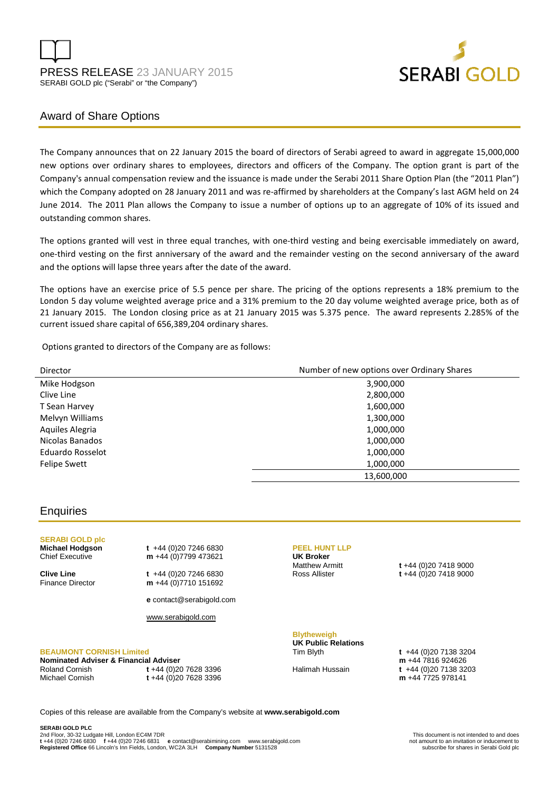



# Award of Share Options

The Company announces that on 22 January 2015 the board of directors of Serabi agreed to award in aggregate 15,000,000 new options over ordinary shares to employees, directors and officers of the Company. The option grant is part of the Company's annual compensation review and the issuance is made under the Serabi 2011 Share Option Plan (the "2011 Plan") which the Company adopted on 28 January 2011 and was re-affirmed by shareholders at the Company's last AGM held on 24 June 2014. The 2011 Plan allows the Company to issue a number of options up to an aggregate of 10% of its issued and outstanding common shares.

The options granted will vest in three equal tranches, with one-third vesting and being exercisable immediately on award, one-third vesting on the first anniversary of the award and the remainder vesting on the second anniversary of the award and the options will lapse three years after the date of the award.

The options have an exercise price of 5.5 pence per share. The pricing of the options represents a 18% premium to the London 5 day volume weighted average price and a 31% premium to the 20 day volume weighted average price, both as of 21 January 2015. The London closing price as at 21 January 2015 was 5.375 pence. The award represents 2.285% of the current issued share capital of 656,389,204 ordinary shares.

Options granted to directors of the Company are as follows:

| Director            | Number of new options over Ordinary Shares |
|---------------------|--------------------------------------------|
| Mike Hodgson        | 3,900,000                                  |
| Clive Line          | 2,800,000                                  |
| T Sean Harvey       | 1,600,000                                  |
| Melvyn Williams     | 1,300,000                                  |
| Aquiles Alegria     | 1,000,000                                  |
| Nicolas Banados     | 1,000,000                                  |
| Eduardo Rosselot    | 1,000,000                                  |
| <b>Felipe Swett</b> | 1,000,000                                  |
|                     | 13,600,000                                 |

## **Enquiries**

**SERABI GOLD plc** 

**Michael Hodgson t +44 (0)20 7246 6830<br>Chief Executive <b>m** +44 (0)7799 473621 m +44 (0)7799 473621

**Clive Line** t +44 (0)20 7246 6830<br>Finance Director **m** +44 (0)7710 151692 m +44 (0)7710 151692

**e** contact@serabigold.com

www.serabigold.com

### **BEAUMONT CORNISH Limited**

**Nominated Adviser & Financial Adviser**  Roland Cornish **t** +44 (0)20 7628 3396 Michael Cornish **t** +44 (0)20 7628 3396

#### **PEEL HUNT LLP UK Broker**

Matthew Armitt **t** +44 (0)20 7418 9000 Ross Allister **t** +44 (0)20 7418 9000

## **Blytheweigh UK Public Relations**

Tim Blyth **t** +44 (0)20 7138 3204 **m** +44 7816 924626 Halimah Hussain **t** +44 (0)20 7138 3203 **m** +44 7725 978141

Copies of this release are available from the Company's website at **www.serabigold.com**